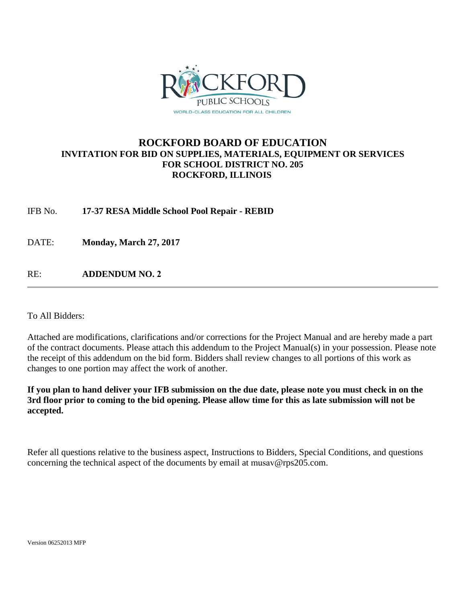

## **ROCKFORD BOARD OF EDUCATION INVITATION FOR BID ON SUPPLIES, MATERIALS, EQUIPMENT OR SERVICES FOR SCHOOL DISTRICT NO. 205 ROCKFORD, ILLINOIS**

IFB No. **17-37 RESA Middle School Pool Repair - REBID**

DATE: **Monday, March 27, 2017** 

RE: **ADDENDUM NO. 2**

To All Bidders:

Attached are modifications, clarifications and/or corrections for the Project Manual and are hereby made a part of the contract documents. Please attach this addendum to the Project Manual(s) in your possession. Please note the receipt of this addendum on the bid form. Bidders shall review changes to all portions of this work as changes to one portion may affect the work of another.

**If you plan to hand deliver your IFB submission on the due date, please note you must check in on the 3rd floor prior to coming to the bid opening. Please allow time for this as late submission will not be accepted.**

Refer all questions relative to the business aspect, Instructions to Bidders, Special Conditions, and questions concerning the technical aspect of the documents by email at musav@rps205.com.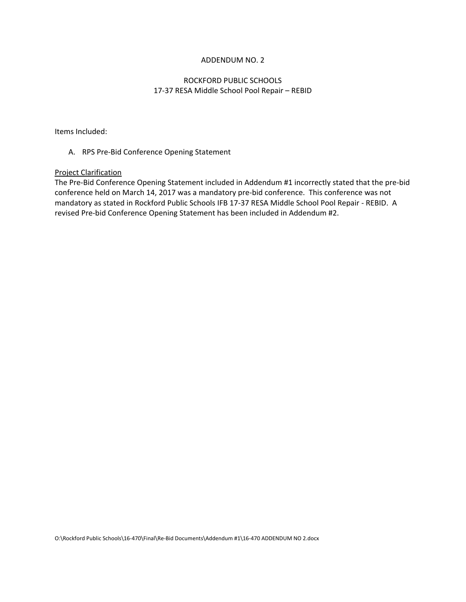#### ADDENDUM NO. 2

### ROCKFORD PUBLIC SCHOOLS 17‐37 RESA Middle School Pool Repair – REBID

Items Included:

#### A. RPS Pre‐Bid Conference Opening Statement

#### Project Clarification

The Pre‐Bid Conference Opening Statement included in Addendum #1 incorrectly stated that the pre‐bid conference held on March 14, 2017 was a mandatory pre‐bid conference. This conference was not mandatory as stated in Rockford Public Schools IFB 17‐37 RESA Middle School Pool Repair ‐ REBID. A revised Pre‐bid Conference Opening Statement has been included in Addendum #2.